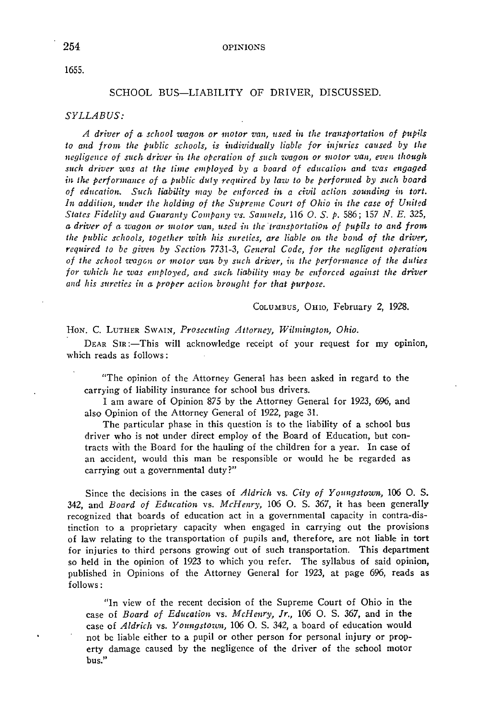1655.

## SCHOOL BUS-LIABILITY OF DRIVER, DISCUSSED.

## *SYLLABUS:*

*A driver of a school wagon or motor oz.•an, used* ia *the transportation of pupils to and from the public schools, is individually liable for injuries caused by the negligmce of such driver in the operation of such wagon or motor van, even though*  such driver was at the time employed by a board of education and was engaged *in the performance of a public duty required by law to be performed by such board of education. Such liability may be enforced* h~ *a civil action sounding in tort.*  In addition, under the holding of the Supreme Court of Ohio in the case of United *States Fidelity and Guaranty Company ·us. Samuels,* 116 0. S. *p.* 586; 157 *N. E.* 325, *a driver of a wagon or motor van, used in the transportation of pupils to and from the public schools, together with his sureties, are liable on the bond of the driver,*  required to be given by Section 7731-3, *General Code, for the negligent operation of the school wagon or motor van by such driver, in the performance of the duties* for which he was employed, and such liability may be enforced against the driver *and his sureties in a proper action brought for that purpose.* 

COLUMBUS, OHIO, February 2, 1928.

Hon. C. LUTHER SWAIN, *Prosecuting Attorney*, Wilmington, Ohio.

DEAR SIR:—This will acknowledge receipt of your request for my opinion, which reads as follows:

"The opinion of the Attorney General has been asked in regard to the carrying of liability insurance for school bus drivers.

I am aware of Opinion 875 by the Attorney General for 1923, 696, and also Opinion of the Attorney General of 1922, page 31.

The particular phase in this question is to the liability of a school bus driver who is not under direct employ of the Board of Education, but contracts with the Board for the hauling of the children for a year. In case of an accident, would this man be responsible or would he be regarded as carrying out a governmental duty?"

Since the decisions in the cases of *Aldrich* vs. *City of Youngstown,* 106 0. S. 342, and *Board of Education* vs. *McHenry,* 106 0. S. 367, it has been generally recognized that boards of education act in a governmental capacity in contra-distinction to a proprietary capacity when engaged in carrying out the provisions of law relating to the transportation of pupils and, therefore, are not liable in tort for injuries to third persons growing· out of such transportation. This department so held in the opinion of 1923 to which you refer. The syllabus of said opinion, published in Opinions of the Attorney General for 1923, at page 696, reads as follows:

"In view of the recent decision of the Supreme Court of Ohio in the case of *Board of Education vs. McHenry, Jr.*, 106 O. S. 367, and in the case of *Aldrich* vs. *Youngstown*, 106 O. S. 342, a board of education would not be liable either to a pupil or other person for personal injury or property damage caused by the negligence of the driver of the school motor bus."